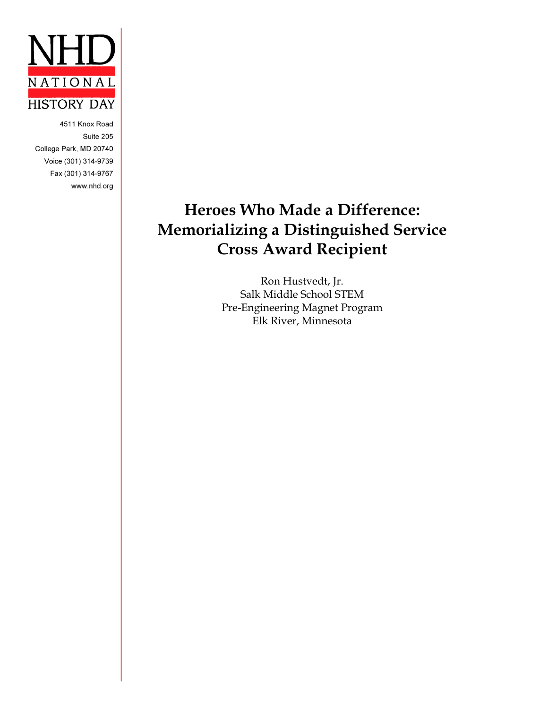

4511 Knox Road Suite 205 College Park, MD 20740 Voice (301) 314-9739 Fax (301) 314-9767 www.nhd.org

# **Heroes Who Made a Difference: Memorializing a Distinguished Service Cross Award Recipient**

Ron Hustvedt, Jr. Salk Middle School STEM Pre-Engineering Magnet Program Elk River, Minnesota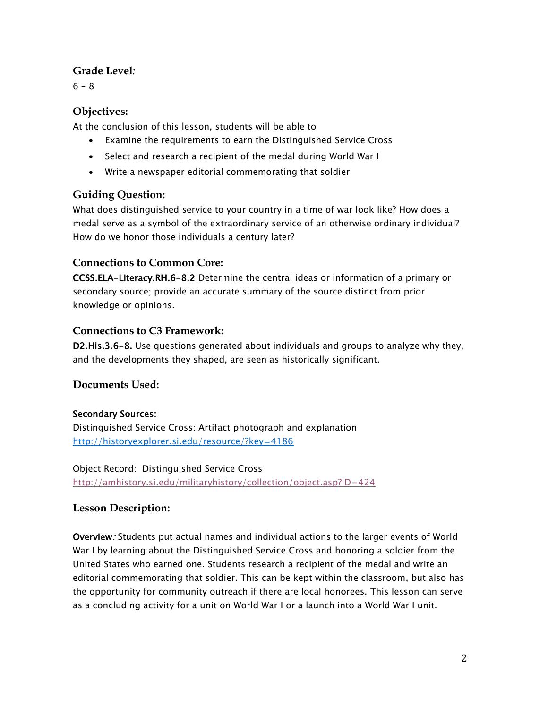### **Grade Level***:*

 $6 - 8$ 

## **Objectives:**

At the conclusion of this lesson, students will be able to

- Examine the requirements to earn the Distinguished Service Cross
- Select and research a recipient of the medal during World War I
- Write a newspaper editorial commemorating that soldier

# **Guiding Question:**

What does distinguished service to your country in a time of war look like? How does a medal serve as a symbol of the extraordinary service of an otherwise ordinary individual? How do we honor those individuals a century later?

## **Connections to Common Core:**

CCSS.ELA-Literacy.RH.6-8.2 Determine the central ideas or information of a primary or secondary source; provide an accurate summary of the source distinct from prior knowledge or opinions.

## **Connections to C3 Framework:**

D2.His.3.6-8. Use questions generated about individuals and groups to analyze why they, and the developments they shaped, are seen as historically significant.

## **Documents Used:**

## Secondary Sources:

Distinguished Service Cross: Artifact photograph and explanation <http://historyexplorer.si.edu/resource/?key=4186>

Object Record: Distinguished Service Cross <http://amhistory.si.edu/militaryhistory/collection/object.asp?ID=424>

## **Lesson Description:**

Overview: Students put actual names and individual actions to the larger events of World War I by learning about the Distinguished Service Cross and honoring a soldier from the United States who earned one. Students research a recipient of the medal and write an editorial commemorating that soldier. This can be kept within the classroom, but also has the opportunity for community outreach if there are local honorees. This lesson can serve as a concluding activity for a unit on World War I or a launch into a World War I unit.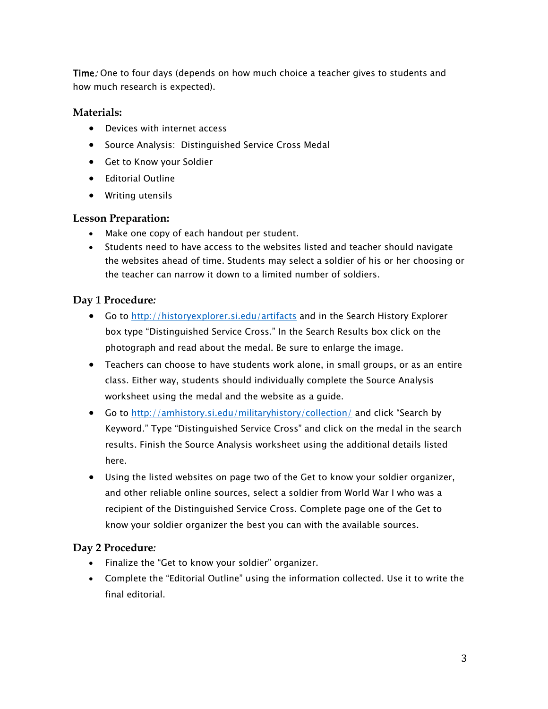Time: One to four days (depends on how much choice a teacher gives to students and how much research is expected).

#### **Materials:**

- Devices with internet access
- Source Analysis: Distinguished Service Cross Medal
- Get to Know your Soldier
- Editorial Outline
- Writing utensils

### **Lesson Preparation:**

- Make one copy of each handout per student.
- Students need to have access to the websites listed and teacher should navigate the websites ahead of time. Students may select a soldier of his or her choosing or the teacher can narrow it down to a limited number of soldiers.

## **Day 1 Procedure***:*

- **Go to<http://historyexplorer.si.edu/artifacts> and in the Search History Explorer** box type "Distinguished Service Cross." In the Search Results box click on the photograph and read about the medal. Be sure to enlarge the image.
- Teachers can choose to have students work alone, in small groups, or as an entire class. Either way, students should individually complete the Source Analysis worksheet using the medal and the website as a guide.
- Go to<http://amhistory.si.edu/militaryhistory/collection/> and click "Search by Keyword." Type "Distinguished Service Cross" and click on the medal in the search results. Finish the Source Analysis worksheet using the additional details listed here.
- Using the listed websites on page two of the Get to know your soldier organizer, and other reliable online sources, select a soldier from World War I who was a recipient of the Distinguished Service Cross. Complete page one of the Get to know your soldier organizer the best you can with the available sources.

#### **Day 2 Procedure***:*

- Finalize the "Get to know your soldier" organizer.
- Complete the "Editorial Outline" using the information collected. Use it to write the final editorial.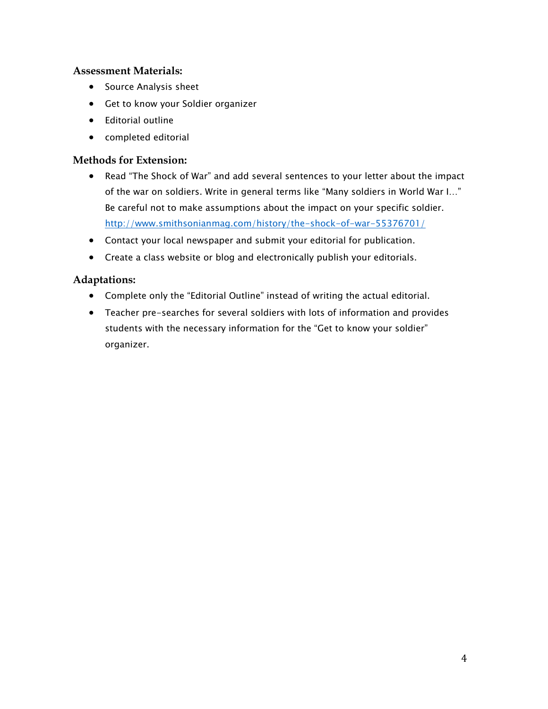#### **Assessment Materials:**

- Source Analysis sheet
- Get to know your Soldier organizer
- Editorial outline
- completed editorial

### **Methods for Extension:**

- Read "The Shock of War" and add several sentences to your letter about the impact of the war on soldiers. Write in general terms like "Many soldiers in World War I…" Be careful not to make assumptions about the impact on your specific soldier. <http://www.smithsonianmag.com/history/the-shock-of-war-55376701/>
- Contact your local newspaper and submit your editorial for publication.
- Create a class website or blog and electronically publish your editorials.

## **Adaptations:**

- Complete only the "Editorial Outline" instead of writing the actual editorial.
- Teacher pre-searches for several soldiers with lots of information and provides students with the necessary information for the "Get to know your soldier" organizer.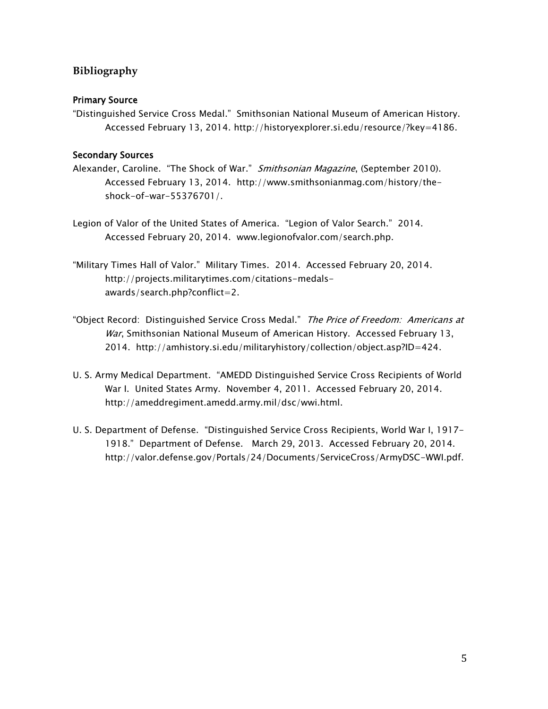### **Bibliography**

#### Primary Source

"Distinguished Service Cross Medal." Smithsonian National Museum of American History. Accessed February 13, 2014. http://historyexplorer.si.edu/resource/?key=4186.

#### Secondary Sources

- Alexander, Caroline. "The Shock of War." Smithsonian Magazine, (September 2010). Accessed February 13, 2014. http://www.smithsonianmag.com/history/theshock-of-war-55376701/.
- Legion of Valor of the United States of America. "Legion of Valor Search." 2014. Accessed February 20, 2014. www.legionofvalor.com/search.php.
- "Military Times Hall of Valor." Military Times. 2014. Accessed February 20, 2014. http://projects.militarytimes.com/citations-medalsawards/search.php?conflict=2.
- "Object Record: Distinguished Service Cross Medal." The Price of Freedom: Americans at War, Smithsonian National Museum of American History. Accessed February 13, 2014. http://amhistory.si.edu/militaryhistory/collection/object.asp?ID=424.
- U. S. Army Medical Department. "AMEDD Distinguished Service Cross Recipients of World War I. United States Army. November 4, 2011. Accessed February 20, 2014. http://ameddregiment.amedd.army.mil/dsc/wwi.html.
- U. S. Department of Defense. "Distinguished Service Cross Recipients, World War I, 1917- 1918." Department of Defense. March 29, 2013. Accessed February 20, 2014. http://valor.defense.gov/Portals/24/Documents/ServiceCross/ArmyDSC-WWI.pdf.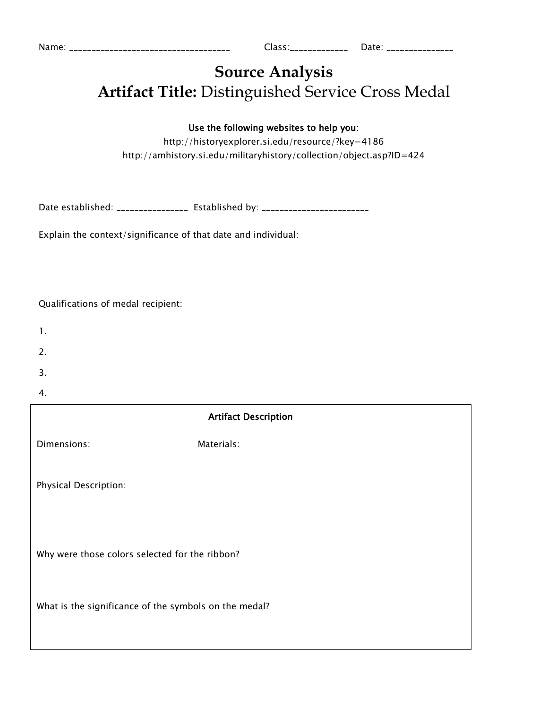| Name: |  |
|-------|--|
|       |  |
|       |  |

# **Source Analysis Artifact Title:** Distinguished Service Cross Medal

### Use the following websites to help you:

http://historyexplorer.si.edu/resource/?key=4186 http://amhistory.si.edu/militaryhistory/collection/object.asp?ID=424

Date established: \_\_\_\_\_\_\_\_\_\_\_\_\_\_\_\_\_ Established by: \_\_\_\_\_\_\_\_\_\_\_\_\_\_\_\_\_\_\_\_\_\_\_\_\_\_\_\_

Explain the context/significance of that date and individual:

#### Qualifications of medal recipient:

- 1.
- 
- 2.
- 3.
- 4.

| <b>Artifact Description</b>                           |            |  |  |
|-------------------------------------------------------|------------|--|--|
| Dimensions:                                           | Materials: |  |  |
| Physical Description:                                 |            |  |  |
| Why were those colors selected for the ribbon?        |            |  |  |
| What is the significance of the symbols on the medal? |            |  |  |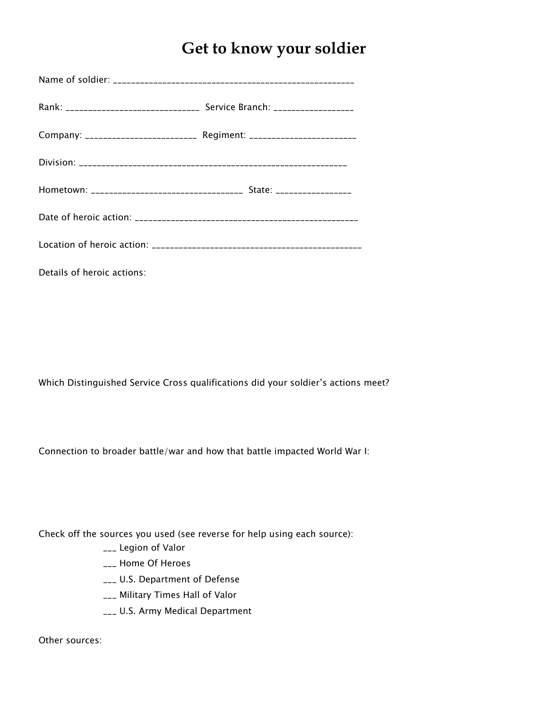# **Get to know your soldier**

| Company: ___________________________ Regiment: __________________________ |  |  |  |
|---------------------------------------------------------------------------|--|--|--|
|                                                                           |  |  |  |
|                                                                           |  |  |  |
|                                                                           |  |  |  |
|                                                                           |  |  |  |
|                                                                           |  |  |  |

Details of heroic actions:

Which Distinguished Service Cross qualifications did your soldier's actions meet?

Connection to broader battle/war and how that battle impacted World War I:

Check off the sources you used (see reverse for help using each source):

- \_\_\_ Legion of Valor
- \_\_\_ Home Of Heroes
- \_\_\_ U.S. Department of Defense
- \_\_\_ Military Times Hall of Valor
- \_\_\_ U.S. Army Medical Department

Other sources: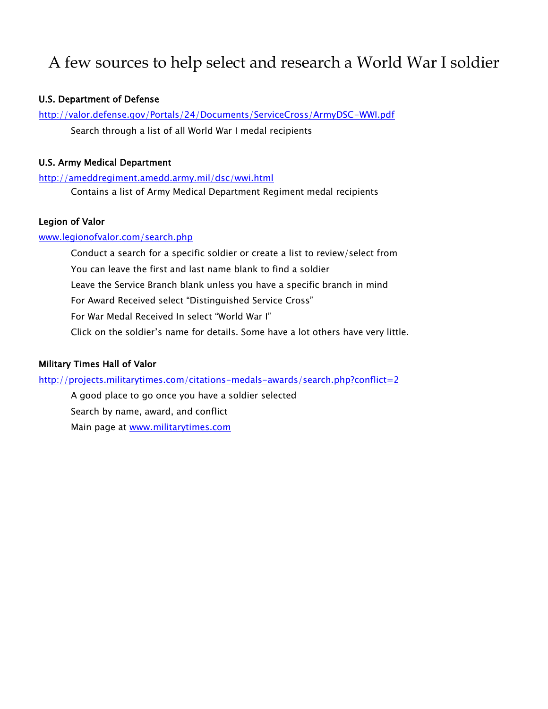# A few sources to help select and research a World War I soldier

#### U.S. Department of Defense

<http://valor.defense.gov/Portals/24/Documents/ServiceCross/ArmyDSC-WWI.pdf> Search through a list of all World War I medal recipients

#### U.S. Army Medical Department

<http://ameddregiment.amedd.army.mil/dsc/wwi.html> Contains a list of Army Medical Department Regiment medal recipients

#### Legion of Valor

[www.legionofvalor.com/search.php](http://www.legionofvalor.com/search.php)

Conduct a search for a specific soldier or create a list to review/select from You can leave the first and last name blank to find a soldier Leave the Service Branch blank unless you have a specific branch in mind For Award Received select "Distinguished Service Cross" For War Medal Received In select "World War I" Click on the soldier's name for details. Some have a lot others have very little.

#### Military Times Hall of Valor

<http://projects.militarytimes.com/citations-medals-awards/search.php?conflict=2>

A good place to go once you have a soldier selected Search by name, award, and conflict Main page at [www.militarytimes.com](http://www.militarytimes.com/)